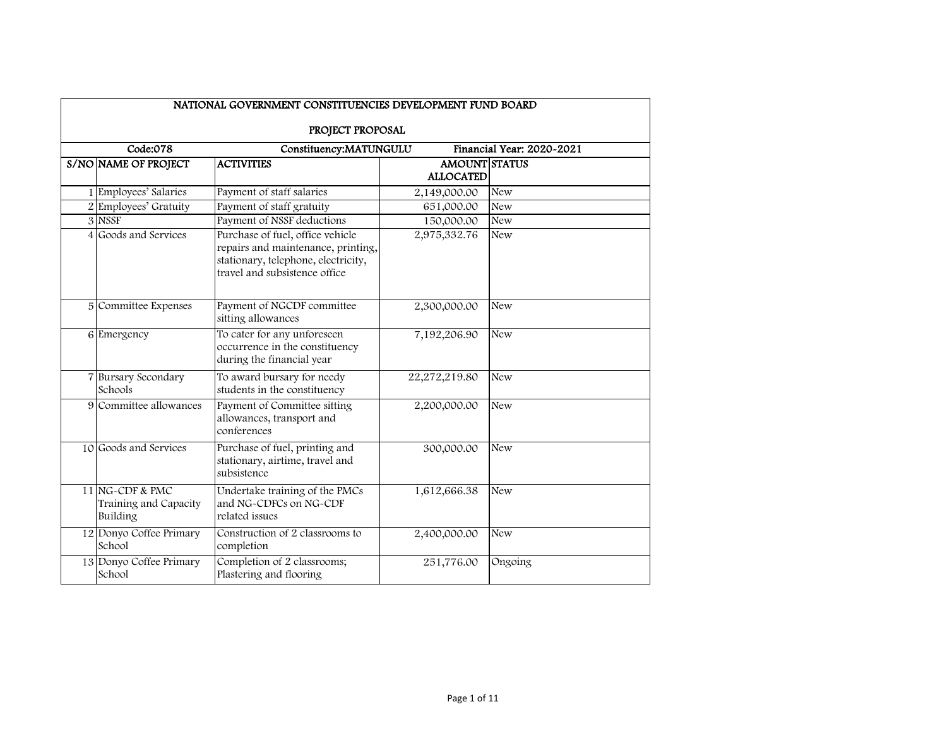| NATIONAL GOVERNMENT CONSTITUENCIES DEVELOPMENT FUND BOARD |                                                      |                                                                                                                                                |                                          |                           |  |  |
|-----------------------------------------------------------|------------------------------------------------------|------------------------------------------------------------------------------------------------------------------------------------------------|------------------------------------------|---------------------------|--|--|
|                                                           | PROJECT PROPOSAL                                     |                                                                                                                                                |                                          |                           |  |  |
|                                                           | Code:078                                             | Constituency:MATUNGULU                                                                                                                         |                                          | Financial Year: 2020-2021 |  |  |
|                                                           | S/NO NAME OF PROJECT                                 | <b>ACTIVITIES</b>                                                                                                                              | <b>AMOUNT STATUS</b><br><b>ALLOCATED</b> |                           |  |  |
|                                                           | 1 Employees' Salaries                                | Payment of staff salaries                                                                                                                      | 2,149,000.00                             | <b>New</b>                |  |  |
|                                                           | 2 Employees' Gratuity                                | Payment of staff gratuity                                                                                                                      | 651,000.00                               | <b>New</b>                |  |  |
|                                                           | 3 NSSF                                               | Payment of NSSF deductions                                                                                                                     | 150,000.00                               | <b>New</b>                |  |  |
|                                                           | 4 Goods and Services                                 | Purchase of fuel, office vehicle<br>repairs and maintenance, printing,<br>stationary, telephone, electricity,<br>travel and subsistence office | 2,975,332.76                             | <b>New</b>                |  |  |
|                                                           | 5 Committee Expenses                                 | Payment of NGCDF committee<br>sitting allowances                                                                                               | 2,300,000.00                             | <b>New</b>                |  |  |
|                                                           | 6 Emergency                                          | To cater for any unforeseen<br>occurrence in the constituency<br>during the financial year                                                     | 7,192,206.90                             | <b>New</b>                |  |  |
| $\overline{7}$                                            | <b>Bursary Secondary</b><br>Schools                  | To award bursary for needy<br>students in the constituency                                                                                     | 22,272,219.80                            | <b>New</b>                |  |  |
|                                                           | 9 Committee allowances                               | Payment of Committee sitting<br>allowances, transport and<br>conferences                                                                       | 2,200,000.00                             | <b>New</b>                |  |  |
|                                                           | 10 Goods and Services                                | Purchase of fuel, printing and<br>stationary, airtime, travel and<br>subsistence                                                               | 300,000.00                               | <b>New</b>                |  |  |
|                                                           | 11 NG-CDF & PMC<br>Training and Capacity<br>Building | Undertake training of the PMCs<br>and NG-CDFCs on NG-CDF<br>related issues                                                                     | 1,612,666.38                             | <b>New</b>                |  |  |
|                                                           | 12 Donyo Coffee Primary<br>School                    | Construction of 2 classrooms to<br>completion                                                                                                  | 2,400,000.00                             | <b>New</b>                |  |  |
|                                                           | 13 Donyo Coffee Primary<br>School                    | Completion of 2 classrooms;<br>Plastering and flooring                                                                                         | 251,776.00                               | Ongoing                   |  |  |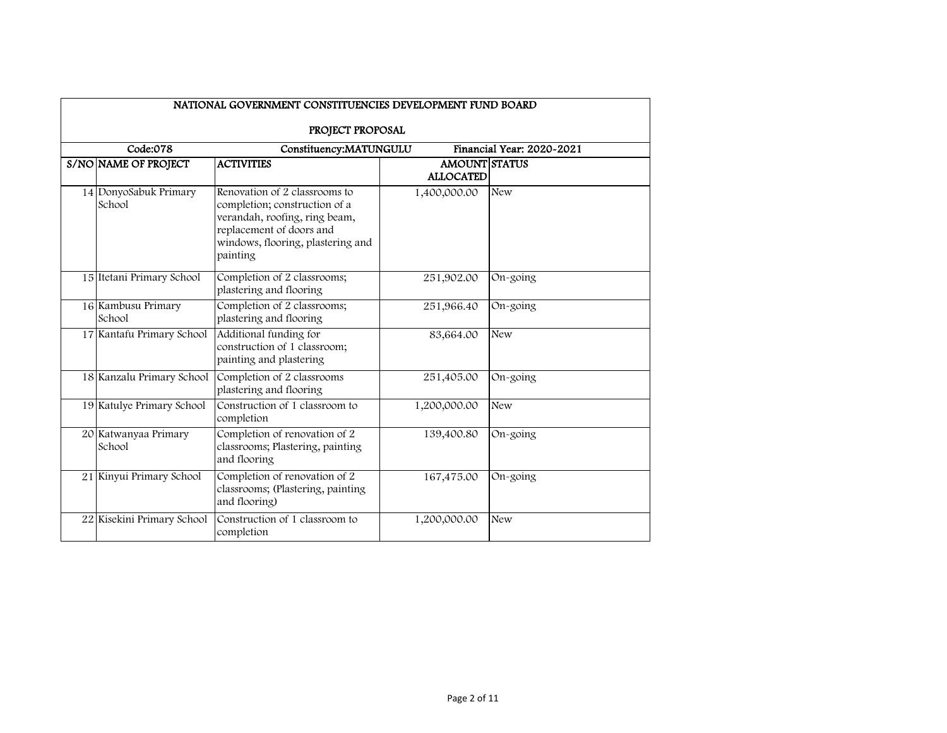| NATIONAL GOVERNMENT CONSTITUENCIES DEVELOPMENT FUND BOARD |                                                                                                                                                                              |                                          |                           |  |  |  |
|-----------------------------------------------------------|------------------------------------------------------------------------------------------------------------------------------------------------------------------------------|------------------------------------------|---------------------------|--|--|--|
| PROJECT PROPOSAL                                          |                                                                                                                                                                              |                                          |                           |  |  |  |
| Code:078                                                  | Constituency:MATUNGULU                                                                                                                                                       |                                          | Financial Year: 2020-2021 |  |  |  |
| S/NO NAME OF PROJECT                                      | <b>ACTIVITIES</b>                                                                                                                                                            | <b>AMOUNT STATUS</b><br><b>ALLOCATED</b> |                           |  |  |  |
| 14 DonyoSabuk Primary<br>School                           | Renovation of 2 classrooms to<br>completion; construction of a<br>verandah, roofing, ring beam,<br>replacement of doors and<br>windows, flooring, plastering and<br>painting | 1,400,000.00                             | <b>New</b>                |  |  |  |
| 15 Itetani Primary School                                 | Completion of 2 classrooms;<br>plastering and flooring                                                                                                                       | 251,902.00                               | On-going                  |  |  |  |
| 16 Kambusu Primary<br>School                              | Completion of 2 classrooms;<br>plastering and flooring                                                                                                                       | 251,966.40                               | On-going                  |  |  |  |
| 17 Kantafu Primary School                                 | Additional funding for<br>construction of 1 classroom;<br>painting and plastering                                                                                            | 83,664.00                                | <b>New</b>                |  |  |  |
| 18 Kanzalu Primary School                                 | Completion of 2 classrooms<br>plastering and flooring                                                                                                                        | 251,405.00                               | On-going                  |  |  |  |
| 19 Katulye Primary School                                 | Construction of 1 classroom to<br>completion                                                                                                                                 | 1,200,000.00                             | <b>New</b>                |  |  |  |
| 20 Katwanyaa Primary<br>School                            | Completion of renovation of 2<br>classrooms; Plastering, painting<br>and flooring                                                                                            | 139,400.80                               | On-going                  |  |  |  |
| 21 Kinyui Primary School                                  | Completion of renovation of 2<br>classrooms; (Plastering, painting<br>and flooring)                                                                                          | 167,475.00                               | On-going                  |  |  |  |
| 22 Kisekini Primary School                                | Construction of 1 classroom to<br>completion                                                                                                                                 | 1,200,000.00                             | <b>New</b>                |  |  |  |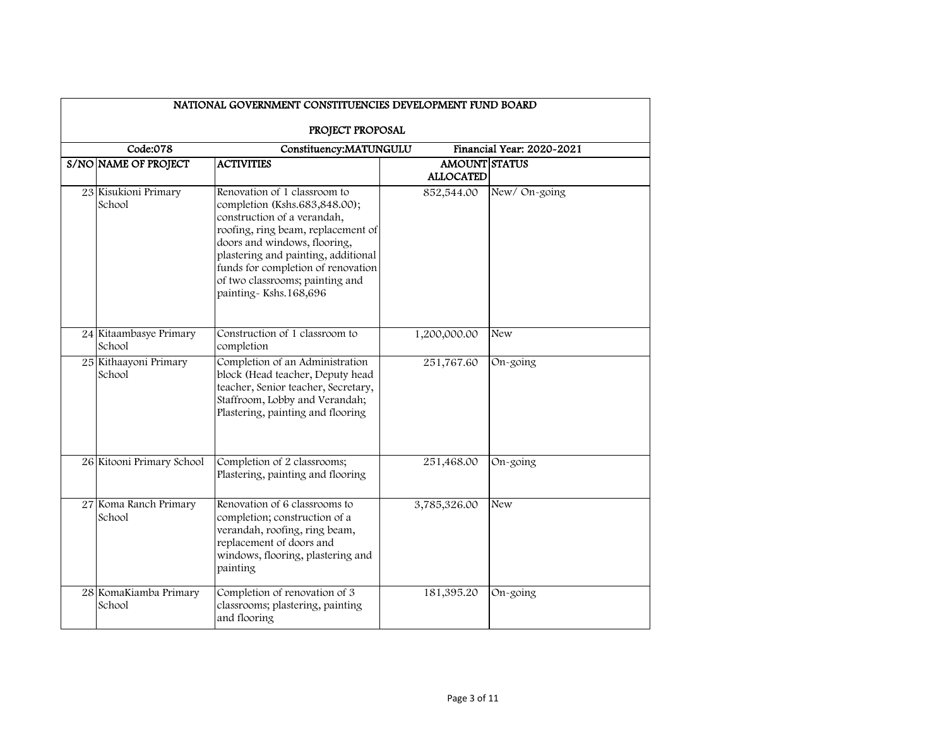| NATIONAL GOVERNMENT CONSTITUENCIES DEVELOPMENT FUND BOARD |                                                                                                                                                                                                                                                                                                             |                                          |                           |  |  |  |
|-----------------------------------------------------------|-------------------------------------------------------------------------------------------------------------------------------------------------------------------------------------------------------------------------------------------------------------------------------------------------------------|------------------------------------------|---------------------------|--|--|--|
| PROJECT PROPOSAL                                          |                                                                                                                                                                                                                                                                                                             |                                          |                           |  |  |  |
| Code:078                                                  | Constituency:MATUNGULU                                                                                                                                                                                                                                                                                      |                                          | Financial Year: 2020-2021 |  |  |  |
| S/NO NAME OF PROJECT                                      | <b>ACTIVITIES</b>                                                                                                                                                                                                                                                                                           | <b>AMOUNT STATUS</b><br><b>ALLOCATED</b> |                           |  |  |  |
| 23 Kisukioni Primary<br>School                            | Renovation of 1 classroom to<br>completion (Kshs.683,848.00);<br>construction of a verandah,<br>roofing, ring beam, replacement of<br>doors and windows, flooring,<br>plastering and painting, additional<br>funds for completion of renovation<br>of two classrooms; painting and<br>painting-Kshs.168,696 | 852,544.00                               | New/On-going              |  |  |  |
| 24 Kitaambasye Primary<br>School                          | Construction of 1 classroom to<br>completion                                                                                                                                                                                                                                                                | 1,200,000.00                             | New                       |  |  |  |
| 25 Kithaayoni Primary<br>School                           | Completion of an Administration<br>block (Head teacher, Deputy head<br>teacher, Senior teacher, Secretary,<br>Staffroom, Lobby and Verandah;<br>Plastering, painting and flooring                                                                                                                           | 251,767.60                               | On-going                  |  |  |  |
| 26 Kitooni Primary School                                 | Completion of 2 classrooms;<br>Plastering, painting and flooring                                                                                                                                                                                                                                            | 251,468.00                               | On-going                  |  |  |  |
| 27 Koma Ranch Primary<br>School                           | Renovation of 6 classrooms to<br>completion; construction of a<br>verandah, roofing, ring beam,<br>replacement of doors and<br>windows, flooring, plastering and<br>painting                                                                                                                                | 3,785,326.00                             | <b>New</b>                |  |  |  |
| 28 KomaKiamba Primary<br>School                           | Completion of renovation of 3<br>classrooms; plastering, painting<br>and flooring                                                                                                                                                                                                                           | 181,395.20                               | On-going                  |  |  |  |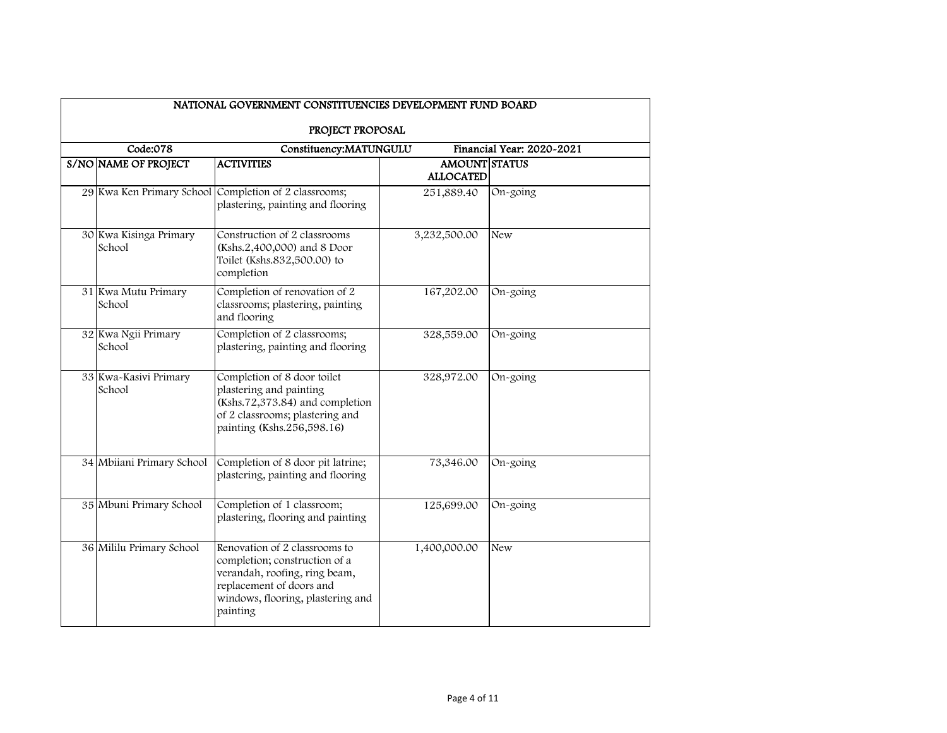| NATIONAL GOVERNMENT CONSTITUENCIES DEVELOPMENT FUND BOARD |                                                                                                                                                                              |                                          |                           |  |  |  |
|-----------------------------------------------------------|------------------------------------------------------------------------------------------------------------------------------------------------------------------------------|------------------------------------------|---------------------------|--|--|--|
| PROJECT PROPOSAL                                          |                                                                                                                                                                              |                                          |                           |  |  |  |
| Code:078                                                  | Constituency:MATUNGULU                                                                                                                                                       |                                          | Financial Year: 2020-2021 |  |  |  |
| S/NO NAME OF PROJECT                                      | <b>ACTIVITIES</b>                                                                                                                                                            | <b>AMOUNT STATUS</b><br><b>ALLOCATED</b> |                           |  |  |  |
|                                                           | 29 Kwa Ken Primary School Completion of 2 classrooms;<br>plastering, painting and flooring                                                                                   | 251,889.40                               | On-going                  |  |  |  |
| 30 Kwa Kisinga Primary<br>School                          | Construction of 2 classrooms<br>(Kshs.2,400,000) and 8 Door<br>Toilet (Kshs.832,500.00) to<br>completion                                                                     | 3,232,500.00                             | <b>New</b>                |  |  |  |
| 31 Kwa Mutu Primary<br>School                             | Completion of renovation of 2<br>classrooms; plastering, painting<br>and flooring                                                                                            | 167,202.00                               | On-going                  |  |  |  |
| 32 Kwa Ngii Primary<br>School                             | Completion of 2 classrooms;<br>plastering, painting and flooring                                                                                                             | 328,559.00                               | On-going                  |  |  |  |
| 33 Kwa-Kasivi Primary<br>School                           | Completion of 8 door toilet<br>plastering and painting<br>(Kshs.72,373.84) and completion<br>of 2 classrooms; plastering and<br>painting (Kshs.256,598.16)                   | 328,972.00                               | On-going                  |  |  |  |
| 34 Mbiiani Primary School                                 | Completion of 8 door pit latrine;<br>plastering, painting and flooring                                                                                                       | 73,346.00                                | On-going                  |  |  |  |
| 35 Mbuni Primary School                                   | Completion of 1 classroom;<br>plastering, flooring and painting                                                                                                              | 125,699.00                               | On-going                  |  |  |  |
| 36 Mililu Primary School                                  | Renovation of 2 classrooms to<br>completion; construction of a<br>verandah, roofing, ring beam,<br>replacement of doors and<br>windows, flooring, plastering and<br>painting | 1,400,000.00                             | <b>New</b>                |  |  |  |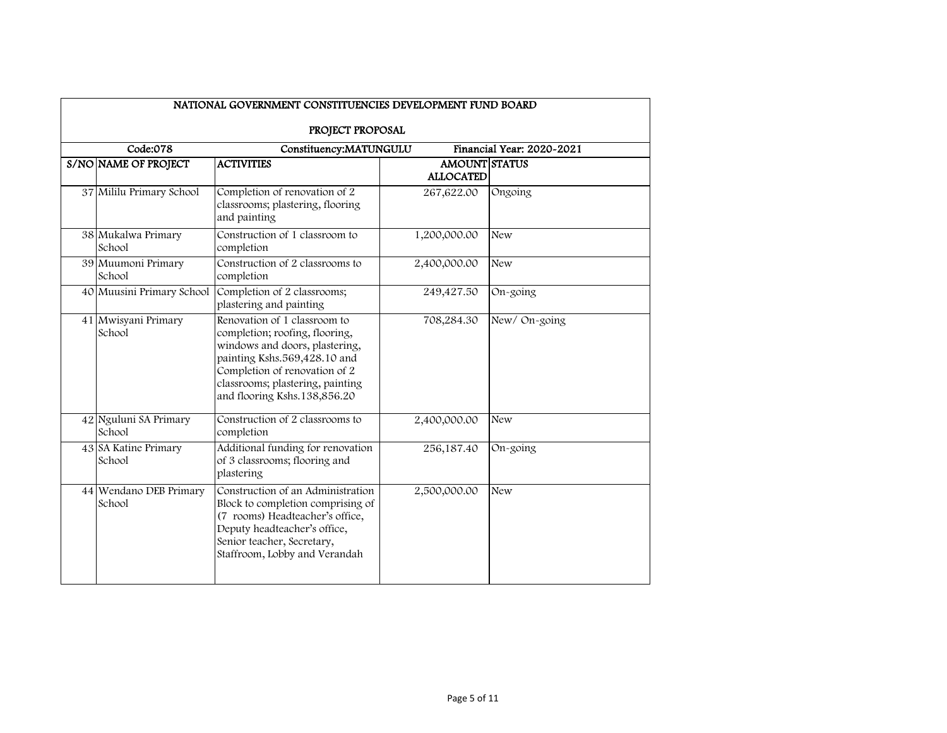| NATIONAL GOVERNMENT CONSTITUENCIES DEVELOPMENT FUND BOARD |                                                                                                                                                                                                                                       |                                          |                           |  |  |
|-----------------------------------------------------------|---------------------------------------------------------------------------------------------------------------------------------------------------------------------------------------------------------------------------------------|------------------------------------------|---------------------------|--|--|
| PROJECT PROPOSAL                                          |                                                                                                                                                                                                                                       |                                          |                           |  |  |
| Code:078                                                  | Constituency:MATUNGULU                                                                                                                                                                                                                |                                          | Financial Year: 2020~2021 |  |  |
| S/NO NAME OF PROJECT                                      | <b>ACTIVITIES</b>                                                                                                                                                                                                                     | <b>AMOUNT STATUS</b><br><b>ALLOCATED</b> |                           |  |  |
| 37 Mililu Primary School                                  | Completion of renovation of 2<br>classrooms; plastering, flooring<br>and painting                                                                                                                                                     | 267,622.00                               | Ongoing                   |  |  |
| 38 Mukalwa Primary<br>School                              | Construction of 1 classroom to<br>completion                                                                                                                                                                                          | 1,200,000.00                             | <b>New</b>                |  |  |
| 39 Muumoni Primary<br>School                              | Construction of 2 classrooms to<br>completion                                                                                                                                                                                         | 2,400,000.00                             | New                       |  |  |
| 40 Muusini Primary School                                 | Completion of 2 classrooms;<br>plastering and painting                                                                                                                                                                                | 249,427.50                               | On-going                  |  |  |
| 41 Mwisyani Primary<br>School                             | Renovation of 1 classroom to<br>completion; roofing, flooring,<br>windows and doors, plastering,<br>painting Kshs.569,428.10 and<br>Completion of renovation of 2<br>classrooms; plastering, painting<br>and flooring Kshs.138,856.20 | 708,284.30                               | New/On-going              |  |  |
| 42 Nguluni SA Primary<br>School                           | Construction of 2 classrooms to<br>completion                                                                                                                                                                                         | 2,400,000.00                             | <b>New</b>                |  |  |
| 43 SA Katine Primary<br>School                            | Additional funding for renovation<br>of 3 classrooms; flooring and<br>plastering                                                                                                                                                      | 256,187.40                               | On-going                  |  |  |
| 44 Wendano DEB Primary<br>School                          | Construction of an Administration<br>Block to completion comprising of<br>(7 rooms) Headteacher's office,<br>Deputy headteacher's office,<br>Senior teacher, Secretary,<br>Staffroom, Lobby and Verandah                              | 2,500,000.00                             | <b>New</b>                |  |  |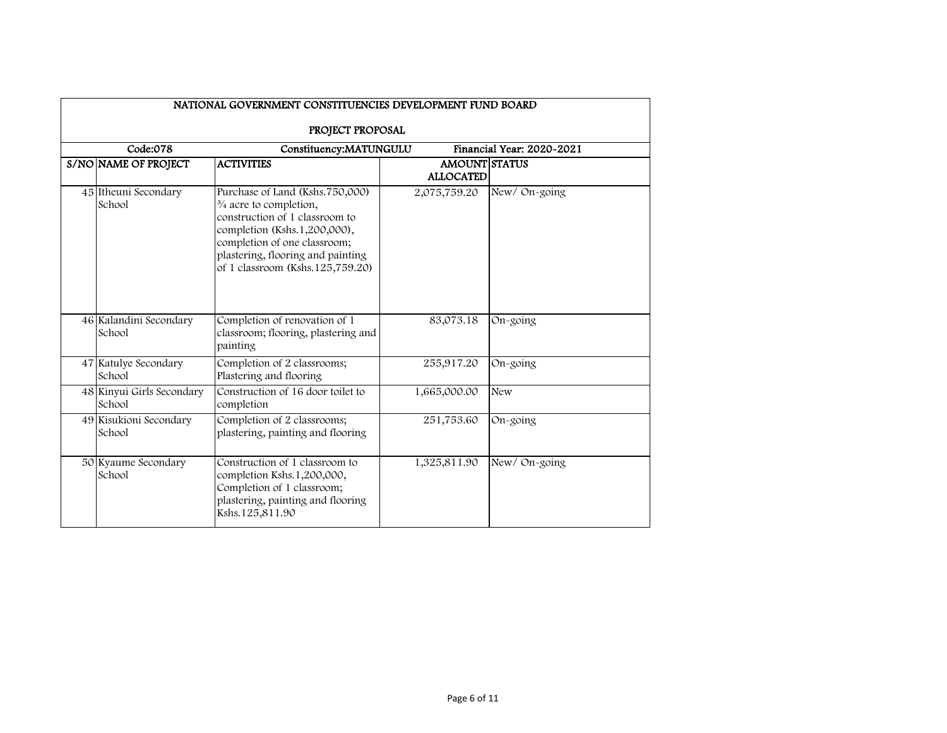| NATIONAL GOVERNMENT CONSTITUENCIES DEVELOPMENT FUND BOARD                           |                                                                                                                                                                                                                                                  |                                   |              |  |  |  |
|-------------------------------------------------------------------------------------|--------------------------------------------------------------------------------------------------------------------------------------------------------------------------------------------------------------------------------------------------|-----------------------------------|--------------|--|--|--|
| PROJECT PROPOSAL<br>Code:078<br>Constituency:MATUNGULU<br>Financial Year: 2020-2021 |                                                                                                                                                                                                                                                  |                                   |              |  |  |  |
| S/NO NAME OF PROJECT                                                                | <b>ACTIVITIES</b>                                                                                                                                                                                                                                | AMOUNT STATUS<br><b>ALLOCATED</b> |              |  |  |  |
| 45 Itheuni Secondary<br>School                                                      | Purchase of Land (Kshs.750,000)<br>$\frac{3}{4}$ acre to completion,<br>construction of 1 classroom to<br>completion (Kshs.1,200,000),<br>completion of one classroom;<br>plastering, flooring and painting<br>of 1 classroom (Kshs. 125,759.20) | 2,075,759.20                      | New/On-going |  |  |  |
| 46 Kalandini Secondary<br>School                                                    | Completion of renovation of 1<br>classroom; flooring, plastering and<br>painting                                                                                                                                                                 | 83,073.18                         | On-going     |  |  |  |
| 47 Katulye Secondary<br>School                                                      | Completion of 2 classrooms;<br>Plastering and flooring                                                                                                                                                                                           | 255,917.20                        | On-going     |  |  |  |
| 48 Kinyui Girls Secondary<br>School                                                 | Construction of 16 door toilet to<br>completion                                                                                                                                                                                                  | 1,665,000.00                      | <b>New</b>   |  |  |  |
| 49 Kisukioni Secondary<br>School                                                    | Completion of 2 classrooms;<br>plastering, painting and flooring                                                                                                                                                                                 | 251,753.60                        | On-going     |  |  |  |
| 50 Kyaume Secondary<br>School                                                       | Construction of 1 classroom to<br>completion Kshs.1,200,000,<br>Completion of 1 classroom;<br>plastering, painting and flooring<br>Kshs.125,811.90                                                                                               | 1,325,811.90                      | New/On-going |  |  |  |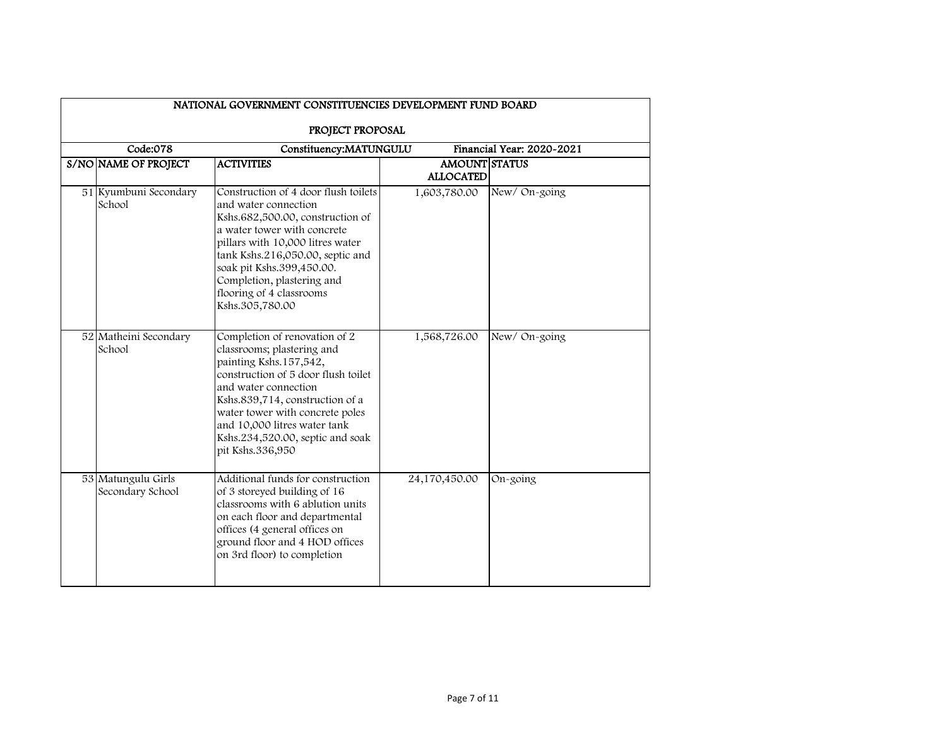| NATIONAL GOVERNMENT CONSTITUENCIES DEVELOPMENT FUND BOARD |                                                                                                                                                                                                                                                                                                                    |                                          |                           |  |  |
|-----------------------------------------------------------|--------------------------------------------------------------------------------------------------------------------------------------------------------------------------------------------------------------------------------------------------------------------------------------------------------------------|------------------------------------------|---------------------------|--|--|
| PROJECT PROPOSAL                                          |                                                                                                                                                                                                                                                                                                                    |                                          |                           |  |  |
| Code:078                                                  | Constituency:MATUNGULU                                                                                                                                                                                                                                                                                             |                                          | Financial Year: 2020-2021 |  |  |
| S/NO NAME OF PROJECT                                      | <b>ACTIVITIES</b>                                                                                                                                                                                                                                                                                                  | <b>AMOUNT STATUS</b><br><b>ALLOCATED</b> |                           |  |  |
| 51 Kyumbuni Secondary<br>School                           | Construction of 4 door flush toilets<br>and water connection<br>Kshs.682,500.00, construction of<br>a water tower with concrete<br>pillars with 10,000 litres water<br>tank Kshs.216,050.00, septic and<br>soak pit Kshs.399,450.00.<br>Completion, plastering and<br>flooring of 4 classrooms<br>Kshs.305,780.00  | 1,603,780.00                             | New/On-going              |  |  |
| 52 Matheini Secondary<br>School                           | Completion of renovation of 2<br>classrooms; plastering and<br>painting Kshs.157,542,<br>construction of 5 door flush toilet<br>and water connection<br>Kshs.839,714, construction of a<br>water tower with concrete poles<br>and 10,000 litres water tank<br>Kshs.234,520.00, septic and soak<br>pit Kshs.336,950 | 1,568,726.00                             | New/On-going              |  |  |
| 53 Matungulu Girls<br>Secondary School                    | Additional funds for construction<br>of 3 storeyed building of 16<br>classrooms with 6 ablution units<br>on each floor and departmental<br>offices (4 general offices on<br>ground floor and 4 HOD offices<br>on 3rd floor) to completion                                                                          | 24,170,450.00                            | On-going                  |  |  |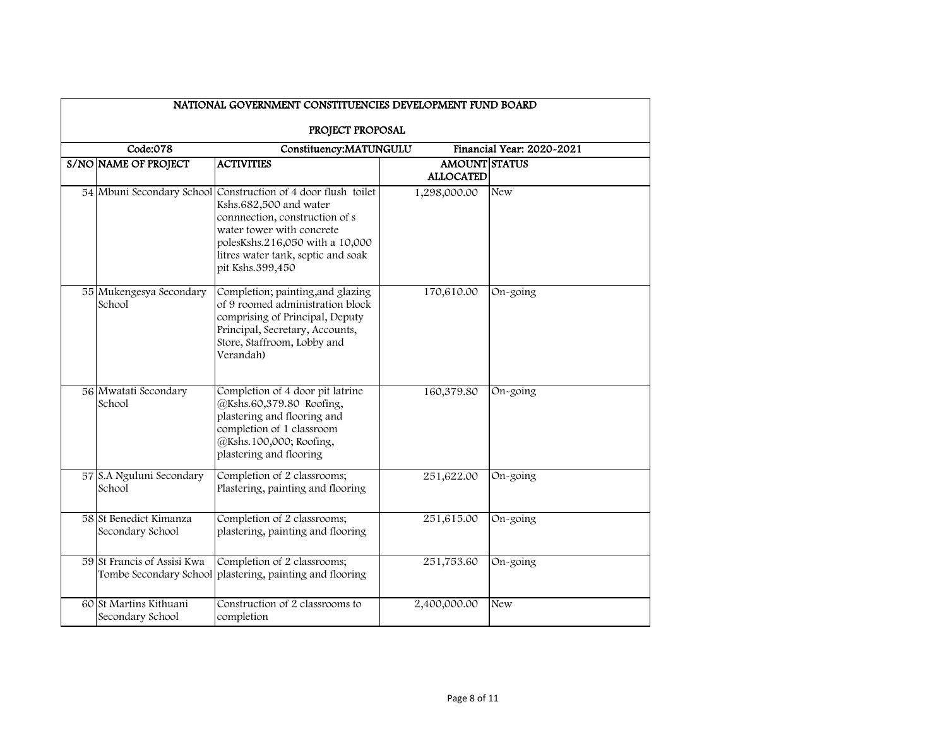| NATIONAL GOVERNMENT CONSTITUENCIES DEVELOPMENT FUND BOARD |                                                                                                                                                                                                                           |                                          |                           |  |  |  |
|-----------------------------------------------------------|---------------------------------------------------------------------------------------------------------------------------------------------------------------------------------------------------------------------------|------------------------------------------|---------------------------|--|--|--|
| PROJECT PROPOSAL                                          |                                                                                                                                                                                                                           |                                          |                           |  |  |  |
| Code:078                                                  | Constituency:MATUNGULU                                                                                                                                                                                                    |                                          | Financial Year: 2020-2021 |  |  |  |
| S/NO NAME OF PROJECT                                      | <b>ACTIVITIES</b>                                                                                                                                                                                                         | <b>AMOUNT STATUS</b><br><b>ALLOCATED</b> |                           |  |  |  |
| 54 Mbuni Secondary School                                 | Construction of 4 door flush toilet<br>Kshs.682,500 and water<br>connnection, construction of s<br>water tower with concrete<br>polesKshs.216,050 with a 10,000<br>litres water tank, septic and soak<br>pit Kshs.399,450 | 1,298,000.00                             | New                       |  |  |  |
| 55 Mukengesya Secondary<br>School                         | Completion; painting, and glazing<br>of 9 roomed administration block<br>comprising of Principal, Deputy<br>Principal, Secretary, Accounts,<br>Store, Staffroom, Lobby and<br>Verandah)                                   | 170,610.00                               | On-going                  |  |  |  |
| 56 Mwatati Secondary<br>School                            | Completion of 4 door pit latrine<br>@Kshs.60,379.80 Roofing,<br>plastering and flooring and<br>completion of 1 classroom<br>@Kshs.100,000; Roofing,<br>plastering and flooring                                            | 160,379.80                               | On-going                  |  |  |  |
| 57 S.A Nguluni Secondary<br>School                        | Completion of 2 classrooms;<br>Plastering, painting and flooring                                                                                                                                                          | 251,622.00                               | On-going                  |  |  |  |
| 58 St Benedict Kimanza<br>Secondary School                | Completion of 2 classrooms;<br>plastering, painting and flooring                                                                                                                                                          | 251,615.00                               | On-going                  |  |  |  |
| 59 St Francis of Assisi Kwa                               | Completion of 2 classrooms;<br>Tombe Secondary School plastering, painting and flooring                                                                                                                                   | 251,753.60                               | On-going                  |  |  |  |
| 60 St Martins Kithuani<br>Secondary School                | Construction of 2 classrooms to<br>completion                                                                                                                                                                             | 2,400,000.00                             | <b>New</b>                |  |  |  |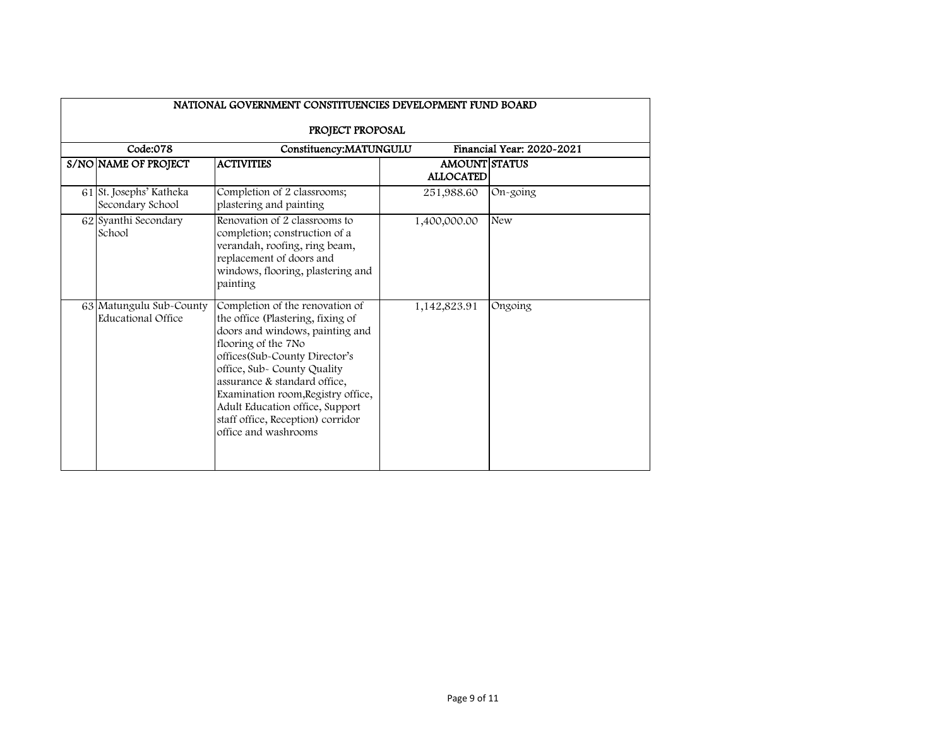| PROJECT PROPOSAL<br>Code:078<br>Financial Year: 2020-2021<br>Constituency:MATUNGULU |                                                                                                                                                                                                                                                                                                                                                                      |                                          |            |  |  |  |
|-------------------------------------------------------------------------------------|----------------------------------------------------------------------------------------------------------------------------------------------------------------------------------------------------------------------------------------------------------------------------------------------------------------------------------------------------------------------|------------------------------------------|------------|--|--|--|
| S/NO NAME OF PROJECT                                                                | <b>ACTIVITIES</b>                                                                                                                                                                                                                                                                                                                                                    | <b>AMOUNT STATUS</b><br><b>ALLOCATED</b> |            |  |  |  |
| 61 St. Josephs' Katheka<br>Secondary School                                         | Completion of 2 classrooms;<br>plastering and painting                                                                                                                                                                                                                                                                                                               | 251,988.60                               | $On-going$ |  |  |  |
| 62 Syanthi Secondary<br>School                                                      | Renovation of 2 classrooms to<br>completion; construction of a<br>verandah, roofing, ring beam,<br>replacement of doors and<br>windows, flooring, plastering and<br>painting                                                                                                                                                                                         | 1,400,000.00                             | <b>New</b> |  |  |  |
| 63 Matungulu Sub-County<br>Educational Office                                       | Completion of the renovation of<br>the office (Plastering, fixing of<br>doors and windows, painting and<br>flooring of the 7No<br>offices(Sub-County Director's<br>office, Sub- County Quality<br>assurance & standard office,<br>Examination room, Registry office,<br>Adult Education office, Support<br>staff office, Reception) corridor<br>office and washrooms | 1,142,823.91                             | Ongoing    |  |  |  |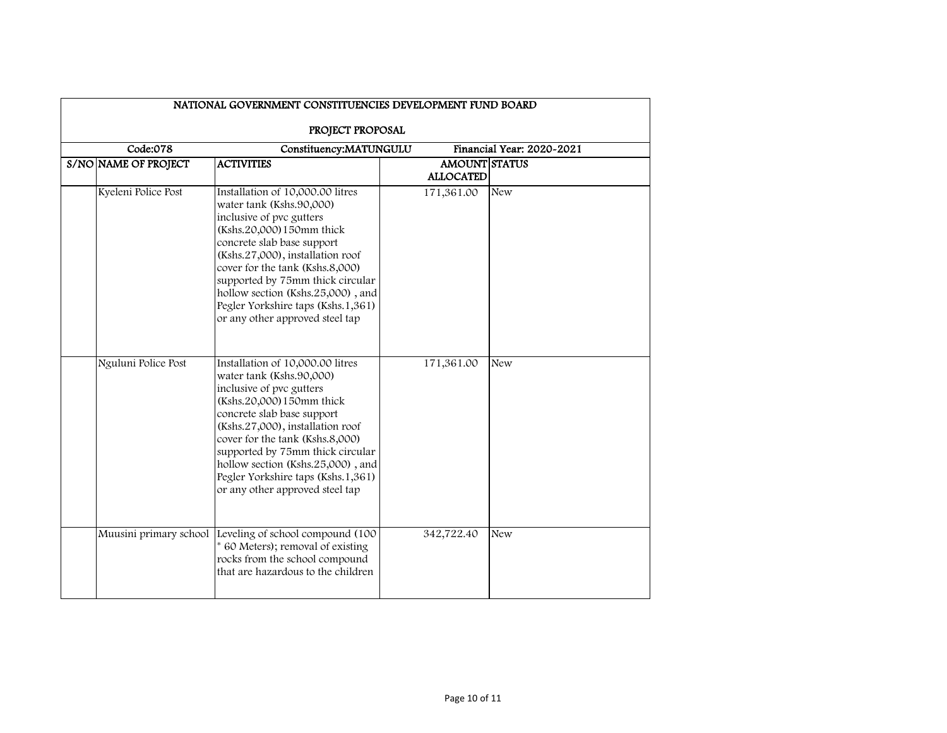| NATIONAL GOVERNMENT CONSTITUENCIES DEVELOPMENT FUND BOARD |                                                                                                                                                                                                                                                                                                                                                                              |                                          |                           |  |  |  |
|-----------------------------------------------------------|------------------------------------------------------------------------------------------------------------------------------------------------------------------------------------------------------------------------------------------------------------------------------------------------------------------------------------------------------------------------------|------------------------------------------|---------------------------|--|--|--|
| PROJECT PROPOSAL                                          |                                                                                                                                                                                                                                                                                                                                                                              |                                          |                           |  |  |  |
| Code:078                                                  | Constituency:MATUNGULU                                                                                                                                                                                                                                                                                                                                                       |                                          | Financial Year: 2020-2021 |  |  |  |
| S/NO NAME OF PROJECT                                      | <b>ACTIVITIES</b>                                                                                                                                                                                                                                                                                                                                                            | <b>AMOUNT STATUS</b><br><b>ALLOCATED</b> |                           |  |  |  |
| Kyeleni Police Post                                       | Installation of 10,000.00 litres<br>water tank (Kshs.90,000)<br>inclusive of pvc gutters<br>(Kshs.20,000) 150mm thick<br>concrete slab base support<br>(Kshs.27,000), installation roof<br>cover for the tank (Kshs.8,000)<br>supported by 75mm thick circular<br>hollow section (Kshs.25,000), and<br>Pegler Yorkshire taps (Kshs.1,361)<br>or any other approved steel tap | 171,361.00                               | New                       |  |  |  |
| Nguluni Police Post                                       | Installation of 10,000.00 litres<br>water tank (Kshs.90,000)<br>inclusive of pvc gutters<br>(Kshs.20,000) 150mm thick<br>concrete slab base support<br>(Kshs.27,000), installation roof<br>cover for the tank (Kshs.8,000)<br>supported by 75mm thick circular<br>hollow section (Kshs.25,000), and<br>Pegler Yorkshire taps (Kshs.1,361)<br>or any other approved steel tap | 171,361.00                               | New                       |  |  |  |
| Muusini primary school                                    | Leveling of school compound (100<br>* 60 Meters); removal of existing<br>rocks from the school compound<br>that are hazardous to the children                                                                                                                                                                                                                                | 342,722.40                               | <b>New</b>                |  |  |  |